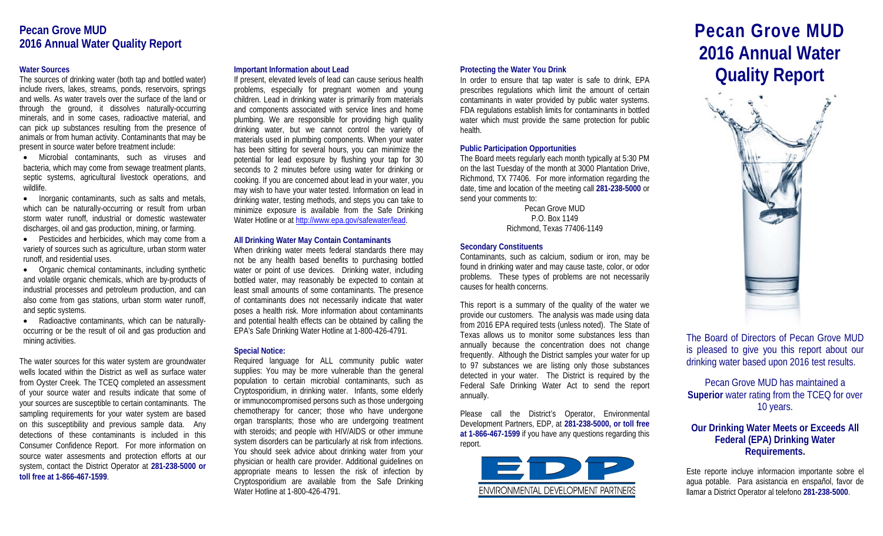## **Pecan Grove MUD 2016 Annual Water Quality Report**

## **Water Sources**

The sources of drinking water (both tap and bottled water) include rivers, lakes, streams, ponds, reservoirs, springs and wells. As water travels over the surface of the land or through the ground, it dissolves naturally-occurring minerals, and in some cases, radioactive material, and can pick up substances resulting from the presence of animals or from human activity. Contaminants that may be present in source water before treatment include:

• Microbial contaminants, such as viruses and bacteria, which may come from sewage treatment plants, septic systems, agricultural livestock operations, and wildlife.

• Inorganic contaminants, such as salts and metals, which can be naturally-occurring or result from urban storm water runoff, industrial or domestic wastewater discharges, oil and gas production, mining, or farming.

• Pesticides and herbicides, which may come from a variety of sources such as agriculture, urban storm water runoff, and residential uses.

• Organic chemical contaminants, including synthetic and volatile organic chemicals, which are by-products of industrial processes and petroleum production, and can also come from gas stations, urban storm water runoff, and septic systems.

• Radioactive contaminants, which can be naturallyoccurring or be the result of oil and gas production and mining activities.

The water sources for this water system are groundwater wells located within the District as well as surface water from Oyster Creek. The TCEQ completed an assessment of your source water and results indicate that some of your sources are susceptible to certain contaminants. The sampling requirements for your water system are based on this susceptibility and previous sample data. Any detections of these contaminants is included in this Consumer Confidence Report. For more information on source water assesments and protection efforts at our system, contact the District Operator at **281-238-5000 or toll free at 1-866-467-1599**.

## **Important Information about Lead**

If present, elevated levels of lead can cause serious health problems, especially for pregnant women and young children. Lead in drinking water is primarily from materials and components associated with service lines and home plumbing. We are responsible for providing high quality drinking water, but we cannot control the variety of materials used in plumbing components. When your water has been sitting for several hours, you can minimize the potential for lead exposure by flushing your tap for 30 seconds to 2 minutes before using water for drinking or cooking. If you are concerned about lead in your water, you may wish to have your water tested. Information on lead in drinking water, testing methods, and steps you can take to minimize exposure is available from the Safe Drinking Water Hotline or a[t http://www.epa.gov/safewater/lead.](http://www.epa.gov/safewater/lead)

## **All Drinking Water May Contain Contaminants**

When drinking water meets federal standards there may not be any health based benefits to purchasing bottled water or point of use devices. Drinking water, including bottled water, may reasonably be expected to contain at least small amounts of some contaminants. The presence of contaminants does not necessarily indicate that water poses a health risk. More information about contaminants and potential health effects can be obtained by calling the EPA's Safe Drinking Water Hotline at 1-800-426-4791.

## **Special Notice:**

Required language for ALL community public water supplies: You may be more vulnerable than the general population to certain microbial contaminants, such as Cryptosporidium, in drinking water. Infants, some elderly or immunocompromised persons such as those undergoing chemotherapy for cancer; those who have undergone organ transplants; those who are undergoing treatment with steroids; and people with HIV/AIDS or other immune system disorders can be particularly at risk from infections. You should seek advice about drinking water from your physician or health care provider. Additional guidelines on appropriate means to lessen the risk of infection by Cryptosporidium are available from the Safe Drinking Water Hotline at 1-800-426-4791.

## **Protecting the Water You Drink**

In order to ensure that tap water is safe to drink, EPA prescribes regulations which limit the amount of certain contaminants in water provided by public water systems. FDA regulations establish limits for contaminants in bottled water which must provide the same protection for public health.

## **Public Participation Opportunities**

The Board meets regularly each month typically at 5:30 PM on the last Tuesday of the month at 3000 Plantation Drive, Richmond, TX 77406. For more information regarding the date, time and location of the meeting call **281-238-5000** or send your comments to:

> Pecan Grove MUD P.O. Box 1149 Richmond, Texas 77406-1149

## **Secondary Constituents**

Contaminants, such as calcium, sodium or iron, may be found in drinking water and may cause taste, color, or odor problems. These types of problems are not necessarily causes for health concerns.

This report is a summary of the quality of the water we provide our customers. The analysis was made using data from 2016 EPA required tests (unless noted). The State of Texas allows us to monitor some substances less than annually because the concentration does not change frequently. Although the District samples your water for up to 97 substances we are listing only those substances detected in your water. The District is required by the Federal Safe Drinking Water Act to send the report annually.

Please call the District's Operator, Environmental Development Partners, EDP, at **281-238-5000, or toll free at 1-866-467-1599** if you have any questions regarding this report.



# **Pecan Grove MUD 2016 Annual Water Quality Report**



The Board of Directors of Pecan Grove MUD is pleased to give you this report about our drinking water based upon 2016 test results.

Pecan Grove MUD has maintained a **Superior** water rating from the TCEQ for over 10 years.

## **Our Drinking Water Meets or Exceeds All Federal (EPA) Drinking Water Requirements.**

Este reporte incluye informacion importante sobre el agua potable. Para asistancia en enspañol, favor de llamar a District Operator al telefono **281-238-5000**.